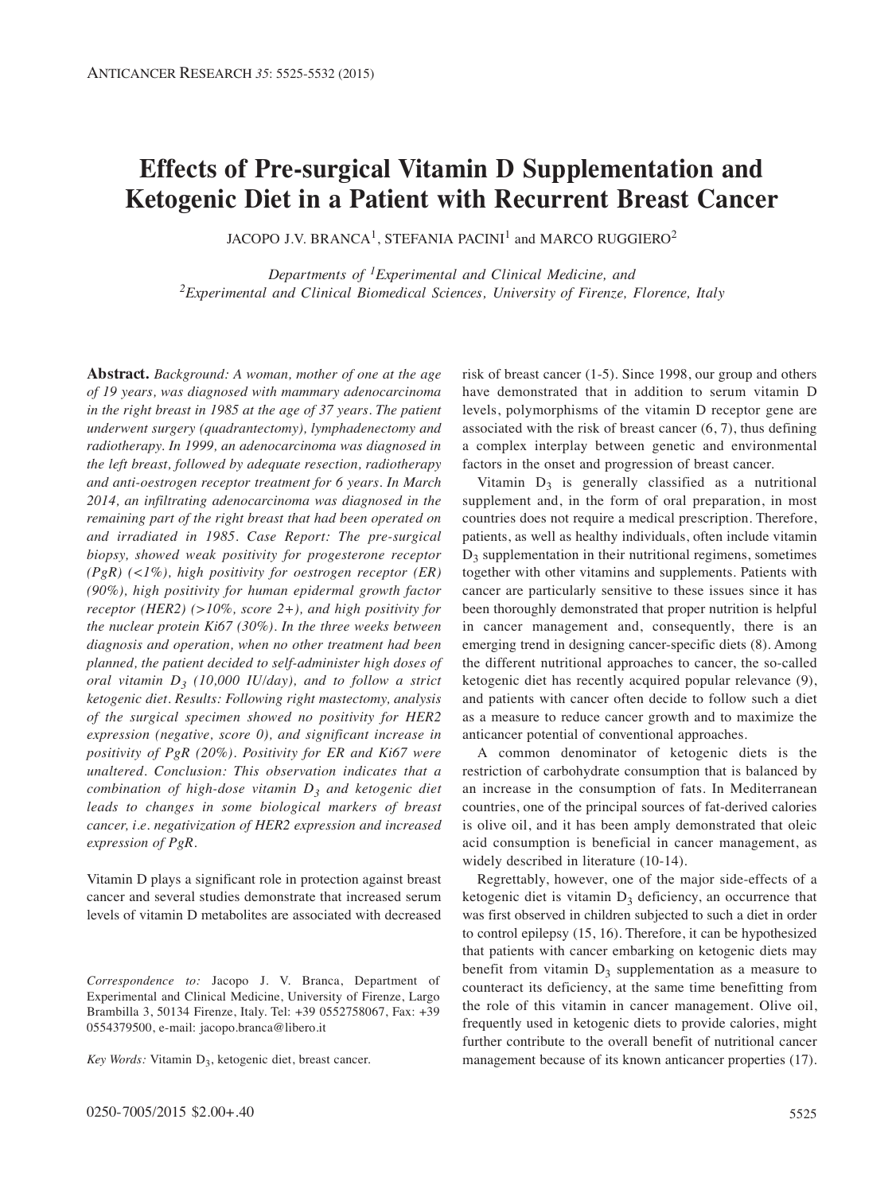# **Effects of Pre-surgical Vitamin D Supplementation and Ketogenic Diet in a Patient with Recurrent Breast Cancer**

JACOPO J.V. BRANCA<sup>1</sup>, STEFANIA PACINI<sup>1</sup> and MARCO RUGGIERO<sup>2</sup>

*Departments of 1Experimental and Clinical Medicine, and 2Experimental and Clinical Biomedical Sciences, University of Firenze, Florence, Italy*

**Abstract.** *Background: A woman, mother of one at the age of 19 years, was diagnosed with mammary adenocarcinoma in the right breast in 1985 at the age of 37 years. The patient underwent surgery (quadrantectomy), lymphadenectomy and radiotherapy. In 1999, an adenocarcinoma was diagnosed in the left breast, followed by adequate resection, radiotherapy and anti-oestrogen receptor treatment for 6 years. In March 2014, an infiltrating adenocarcinoma was diagnosed in the remaining part of the right breast that had been operated on and irradiated in 1985. Case Report: The pre-surgical biopsy, showed weak positivity for progesterone receptor (PgR) (<1%), high positivity for oestrogen receptor (ER) (90%), high positivity for human epidermal growth factor receptor (HER2) (>10%, score 2+), and high positivity for the nuclear protein Ki67 (30%). In the three weeks between diagnosis and operation, when no other treatment had been planned, the patient decided to self-administer high doses of oral vitamin D3 (10,000 IU/day), and to follow a strict ketogenic diet. Results: Following right mastectomy, analysis of the surgical specimen showed no positivity for HER2 expression (negative, score 0), and significant increase in positivity of PgR (20%). Positivity for ER and Ki67 were unaltered. Conclusion: This observation indicates that a combination of high-dose vitamin D3 and ketogenic diet leads to changes in some biological markers of breast cancer, i.e. negativization of HER2 expression and increased expression of PgR.*

Vitamin D plays a significant role in protection against breast cancer and several studies demonstrate that increased serum levels of vitamin D metabolites are associated with decreased

*Key Words:* Vitamin D<sub>3</sub>, ketogenic diet, breast cancer.

risk of breast cancer (1-5). Since 1998, our group and others have demonstrated that in addition to serum vitamin D levels, polymorphisms of the vitamin D receptor gene are associated with the risk of breast cancer (6, 7), thus defining a complex interplay between genetic and environmental factors in the onset and progression of breast cancer.

Vitamin  $D_3$  is generally classified as a nutritional supplement and, in the form of oral preparation, in most countries does not require a medical prescription. Therefore, patients, as well as healthy individuals, often include vitamin  $D_3$  supplementation in their nutritional regimens, sometimes together with other vitamins and supplements. Patients with cancer are particularly sensitive to these issues since it has been thoroughly demonstrated that proper nutrition is helpful in cancer management and, consequently, there is an emerging trend in designing cancer-specific diets (8). Among the different nutritional approaches to cancer, the so-called ketogenic diet has recently acquired popular relevance (9), and patients with cancer often decide to follow such a diet as a measure to reduce cancer growth and to maximize the anticancer potential of conventional approaches.

A common denominator of ketogenic diets is the restriction of carbohydrate consumption that is balanced by an increase in the consumption of fats. In Mediterranean countries, one of the principal sources of fat-derived calories is olive oil, and it has been amply demonstrated that oleic acid consumption is beneficial in cancer management, as widely described in literature (10-14).

Regrettably, however, one of the major side-effects of a ketogenic diet is vitamin  $D_3$  deficiency, an occurrence that was first observed in children subjected to such a diet in order to control epilepsy (15, 16). Therefore, it can be hypothesized that patients with cancer embarking on ketogenic diets may benefit from vitamin  $D_3$  supplementation as a measure to counteract its deficiency, at the same time benefitting from the role of this vitamin in cancer management. Olive oil, frequently used in ketogenic diets to provide calories, might further contribute to the overall benefit of nutritional cancer management because of its known anticancer properties (17).

*Correspondence to:* Jacopo J. V. Branca, Department of Experimental and Clinical Medicine, University of Firenze, Largo Brambilla 3, 50134 Firenze, Italy. Tel: +39 0552758067, Fax: +39 0554379500, e-mail: jacopo.branca@libero.it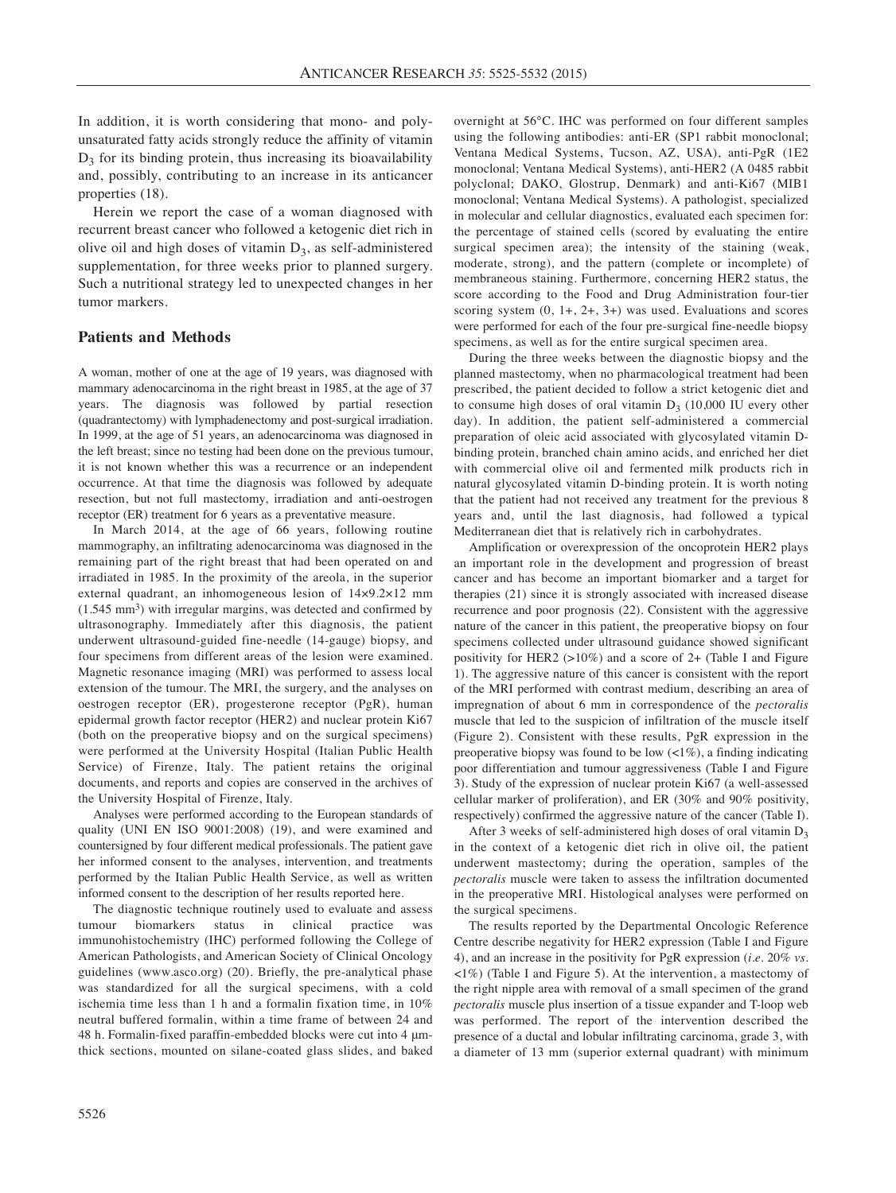In addition, it is worth considering that mono- and polyunsaturated fatty acids strongly reduce the affinity of vitamin  $D_3$  for its binding protein, thus increasing its bioavailability and, possibly, contributing to an increase in its anticancer properties (18).

Herein we report the case of a woman diagnosed with recurrent breast cancer who followed a ketogenic diet rich in olive oil and high doses of vitamin  $D_3$ , as self-administered supplementation, for three weeks prior to planned surgery. Such a nutritional strategy led to unexpected changes in her tumor markers.

#### **Patients and Methods**

A woman, mother of one at the age of 19 years, was diagnosed with mammary adenocarcinoma in the right breast in 1985, at the age of 37 years. The diagnosis was followed by partial resection (quadrantectomy) with lymphadenectomy and post-surgical irradiation. In 1999, at the age of 51 years, an adenocarcinoma was diagnosed in the left breast; since no testing had been done on the previous tumour, it is not known whether this was a recurrence or an independent occurrence. At that time the diagnosis was followed by adequate resection, but not full mastectomy, irradiation and anti-oestrogen receptor (ER) treatment for 6 years as a preventative measure.

In March 2014, at the age of 66 years, following routine mammography, an infiltrating adenocarcinoma was diagnosed in the remaining part of the right breast that had been operated on and irradiated in 1985. In the proximity of the areola, in the superior external quadrant, an inhomogeneous lesion of 14×9.2×12 mm (1.545 mm3) with irregular margins, was detected and confirmed by ultrasonography. Immediately after this diagnosis, the patient underwent ultrasound-guided fine-needle (14-gauge) biopsy, and four specimens from different areas of the lesion were examined. Magnetic resonance imaging (MRI) was performed to assess local extension of the tumour. The MRI, the surgery, and the analyses on oestrogen receptor (ER), progesterone receptor (PgR), human epidermal growth factor receptor (HER2) and nuclear protein Ki67 (both on the preoperative biopsy and on the surgical specimens) were performed at the University Hospital (Italian Public Health Service) of Firenze, Italy. The patient retains the original documents, and reports and copies are conserved in the archives of the University Hospital of Firenze, Italy.

Analyses were performed according to the European standards of quality (UNI EN ISO 9001:2008) (19), and were examined and countersigned by four different medical professionals. The patient gave her informed consent to the analyses, intervention, and treatments performed by the Italian Public Health Service, as well as written informed consent to the description of her results reported here.

The diagnostic technique routinely used to evaluate and assess tumour biomarkers status in clinical practice was immunohistochemistry (IHC) performed following the College of American Pathologists, and American Society of Clinical Oncology guidelines (www.asco.org) (20). Briefly, the pre-analytical phase was standardized for all the surgical specimens, with a cold ischemia time less than 1 h and a formalin fixation time, in 10% neutral buffered formalin, within a time frame of between 24 and 48 h. Formalin-fixed paraffin-embedded blocks were cut into 4 μmthick sections, mounted on silane-coated glass slides, and baked overnight at 56°C. IHC was performed on four different samples using the following antibodies: anti-ER (SP1 rabbit monoclonal; Ventana Medical Systems, Tucson, AZ, USA), anti-PgR (1E2 monoclonal; Ventana Medical Systems), anti-HER2 (A 0485 rabbit polyclonal; DAKO, Glostrup, Denmark) and anti-Ki67 (MIB1 monoclonal; Ventana Medical Systems). A pathologist, specialized in molecular and cellular diagnostics, evaluated each specimen for: the percentage of stained cells (scored by evaluating the entire surgical specimen area); the intensity of the staining (weak, moderate, strong), and the pattern (complete or incomplete) of membraneous staining. Furthermore, concerning HER2 status, the score according to the Food and Drug Administration four-tier scoring system  $(0, 1+, 2+, 3+)$  was used. Evaluations and scores were performed for each of the four pre-surgical fine-needle biopsy specimens, as well as for the entire surgical specimen area.

During the three weeks between the diagnostic biopsy and the planned mastectomy, when no pharmacological treatment had been prescribed, the patient decided to follow a strict ketogenic diet and to consume high doses of oral vitamin  $D_3$  (10,000 IU every other day). In addition, the patient self-administered a commercial preparation of oleic acid associated with glycosylated vitamin Dbinding protein, branched chain amino acids, and enriched her diet with commercial olive oil and fermented milk products rich in natural glycosylated vitamin D-binding protein. It is worth noting that the patient had not received any treatment for the previous 8 years and, until the last diagnosis, had followed a typical Mediterranean diet that is relatively rich in carbohydrates.

Amplification or overexpression of the oncoprotein HER2 plays an important role in the development and progression of breast cancer and has become an important biomarker and a target for therapies (21) since it is strongly associated with increased disease recurrence and poor prognosis (22). Consistent with the aggressive nature of the cancer in this patient, the preoperative biopsy on four specimens collected under ultrasound guidance showed significant positivity for HER2 ( $>10\%$ ) and a score of 2+ (Table I and Figure 1). The aggressive nature of this cancer is consistent with the report of the MRI performed with contrast medium, describing an area of impregnation of about 6 mm in correspondence of the *pectoralis* muscle that led to the suspicion of infiltration of the muscle itself (Figure 2). Consistent with these results, PgR expression in the preoperative biopsy was found to be low  $\left(\langle 1\% \right)$ , a finding indicating poor differentiation and tumour aggressiveness (Table I and Figure 3). Study of the expression of nuclear protein Ki67 (a well-assessed cellular marker of proliferation), and ER (30% and 90% positivity, respectively) confirmed the aggressive nature of the cancer (Table I).

After 3 weeks of self-administered high doses of oral vitamin  $D_3$ in the context of a ketogenic diet rich in olive oil, the patient underwent mastectomy; during the operation, samples of the *pectoralis* muscle were taken to assess the infiltration documented in the preoperative MRI. Histological analyses were performed on the surgical specimens.

The results reported by the Departmental Oncologic Reference Centre describe negativity for HER2 expression (Table I and Figure 4), and an increase in the positivity for PgR expression (*i.e.* 20% *vs.* <1%) (Table I and Figure 5). At the intervention, a mastectomy of the right nipple area with removal of a small specimen of the grand *pectoralis* muscle plus insertion of a tissue expander and T-loop web was performed. The report of the intervention described the presence of a ductal and lobular infiltrating carcinoma, grade 3, with a diameter of 13 mm (superior external quadrant) with minimum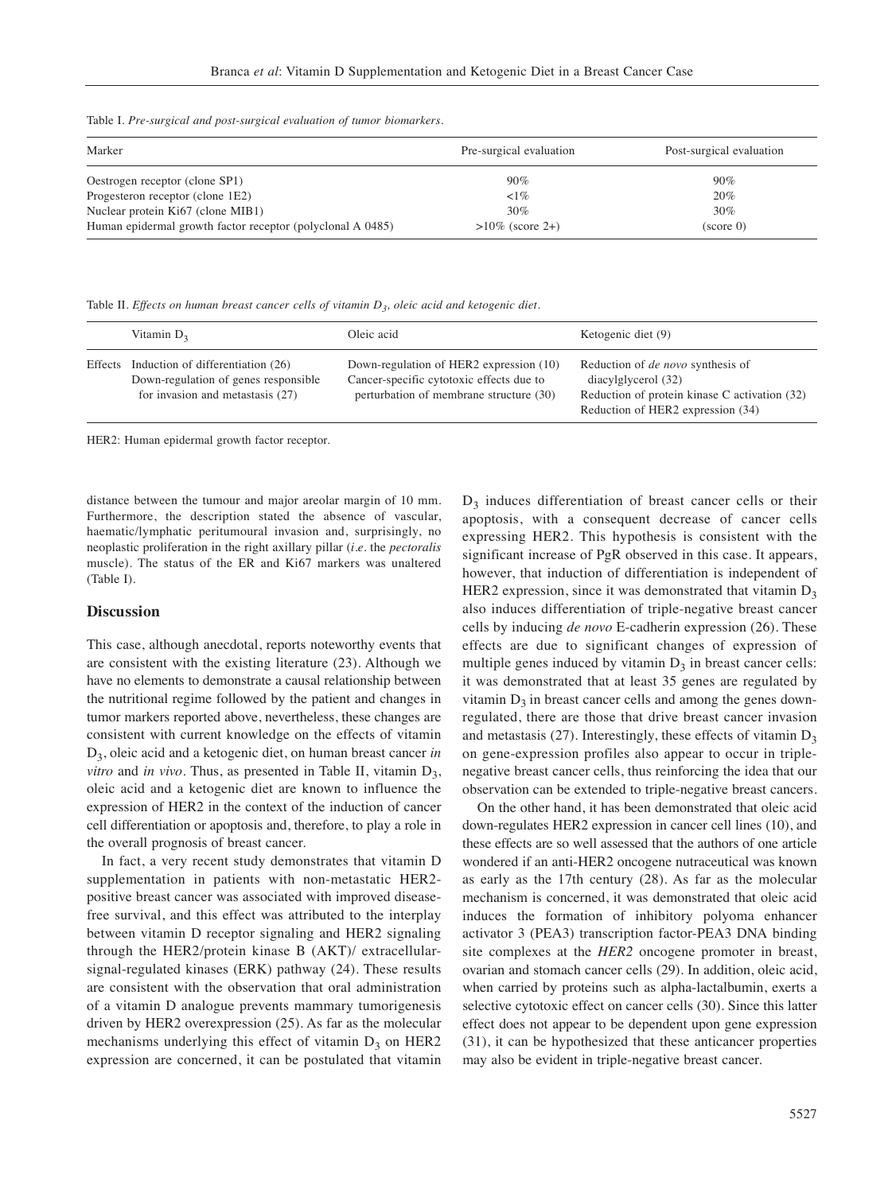Table I. *Pre-surgical and post-surgical evaluation of tumor biomarkers.* 

| Marker                                                     | Pre-surgical evaluation | Post-surgical evaluation |
|------------------------------------------------------------|-------------------------|--------------------------|
| Oestrogen receptor (clone SP1)                             | $90\%$                  | $90\%$                   |
| Progesteron receptor (clone 1E2)                           | $\langle 1\%$           | 20%                      |
| Nuclear protein Ki67 (clone MIB1)                          | 30%                     | $30\%$                   |
| Human epidermal growth factor receptor (polyclonal A 0485) | $>10\%$ (score 2+)      | (score 0)                |

Table II. *Effects on human breast cancer cells of vitamin*  $D_3$ , oleic acid and ketogenic diet.

|         | Vitamin $D_3$                                                                                                 | Oleic acid                                                                                                                     | Ketogenic diet (9)                                                                                                                                    |
|---------|---------------------------------------------------------------------------------------------------------------|--------------------------------------------------------------------------------------------------------------------------------|-------------------------------------------------------------------------------------------------------------------------------------------------------|
| Effects | Induction of differentiation (26)<br>Down-regulation of genes responsible<br>for invasion and metastasis (27) | Down-regulation of HER2 expression (10)<br>Cancer-specific cytotoxic effects due to<br>perturbation of membrane structure (30) | Reduction of <i>de novo</i> synthesis of<br>diacylglycerol (32)<br>Reduction of protein kinase C activation (32)<br>Reduction of HER2 expression (34) |

HER2: Human epidermal growth factor receptor.

distance between the tumour and major areolar margin of 10 mm. Furthermore, the description stated the absence of vascular, haematic/lymphatic peritumoural invasion and, surprisingly, no neoplastic proliferation in the right axillary pillar (*i.e.* the *pectoralis* muscle). The status of the ER and Ki67 markers was unaltered (Table I).

#### **Discussion**

This case, although anecdotal, reports noteworthy events that are consistent with the existing literature (23). Although we have no elements to demonstrate a causal relationship between the nutritional regime followed by the patient and changes in tumor markers reported above, nevertheless, these changes are consistent with current knowledge on the effects of vitamin D3, oleic acid and a ketogenic diet, on human breast cancer *in vitro* and *in vivo*. Thus, as presented in Table II, vitamin  $D_3$ , oleic acid and a ketogenic diet are known to influence the expression of HER2 in the context of the induction of cancer cell differentiation or apoptosis and, therefore, to play a role in the overall prognosis of breast cancer.

In fact, a very recent study demonstrates that vitamin D supplementation in patients with non-metastatic HER2 positive breast cancer was associated with improved diseasefree survival, and this effect was attributed to the interplay between vitamin D receptor signaling and HER2 signaling through the HER2/protein kinase B (AKT)/ extracellularsignal-regulated kinases (ERK) pathway (24). These results are consistent with the observation that oral administration of a vitamin D analogue prevents mammary tumorigenesis driven by HER2 overexpression (25). As far as the molecular mechanisms underlying this effect of vitamin  $D_3$  on HER2 expression are concerned, it can be postulated that vitamin

 $D_3$  induces differentiation of breast cancer cells or their apoptosis, with a consequent decrease of cancer cells expressing HER2. This hypothesis is consistent with the significant increase of PgR observed in this case. It appears, however, that induction of differentiation is independent of HER2 expression, since it was demonstrated that vitamin  $D_3$ also induces differentiation of triple-negative breast cancer cells by inducing *de novo* E-cadherin expression (26). These effects are due to significant changes of expression of multiple genes induced by vitamin  $D_3$  in breast cancer cells: it was demonstrated that at least 35 genes are regulated by vitamin  $D_3$  in breast cancer cells and among the genes downregulated, there are those that drive breast cancer invasion and metastasis (27). Interestingly, these effects of vitamin  $D_3$ on gene-expression profiles also appear to occur in triplenegative breast cancer cells, thus reinforcing the idea that our observation can be extended to triple-negative breast cancers.

On the other hand, it has been demonstrated that oleic acid down-regulates HER2 expression in cancer cell lines (10), and these effects are so well assessed that the authors of one article wondered if an anti-HER2 oncogene nutraceutical was known as early as the 17th century (28). As far as the molecular mechanism is concerned, it was demonstrated that oleic acid induces the formation of inhibitory polyoma enhancer activator 3 (PEA3) transcription factor-PEA3 DNA binding site complexes at the *HER2* oncogene promoter in breast, ovarian and stomach cancer cells (29). In addition, oleic acid, when carried by proteins such as alpha-lactalbumin, exerts a selective cytotoxic effect on cancer cells (30). Since this latter effect does not appear to be dependent upon gene expression (31), it can be hypothesized that these anticancer properties may also be evident in triple-negative breast cancer.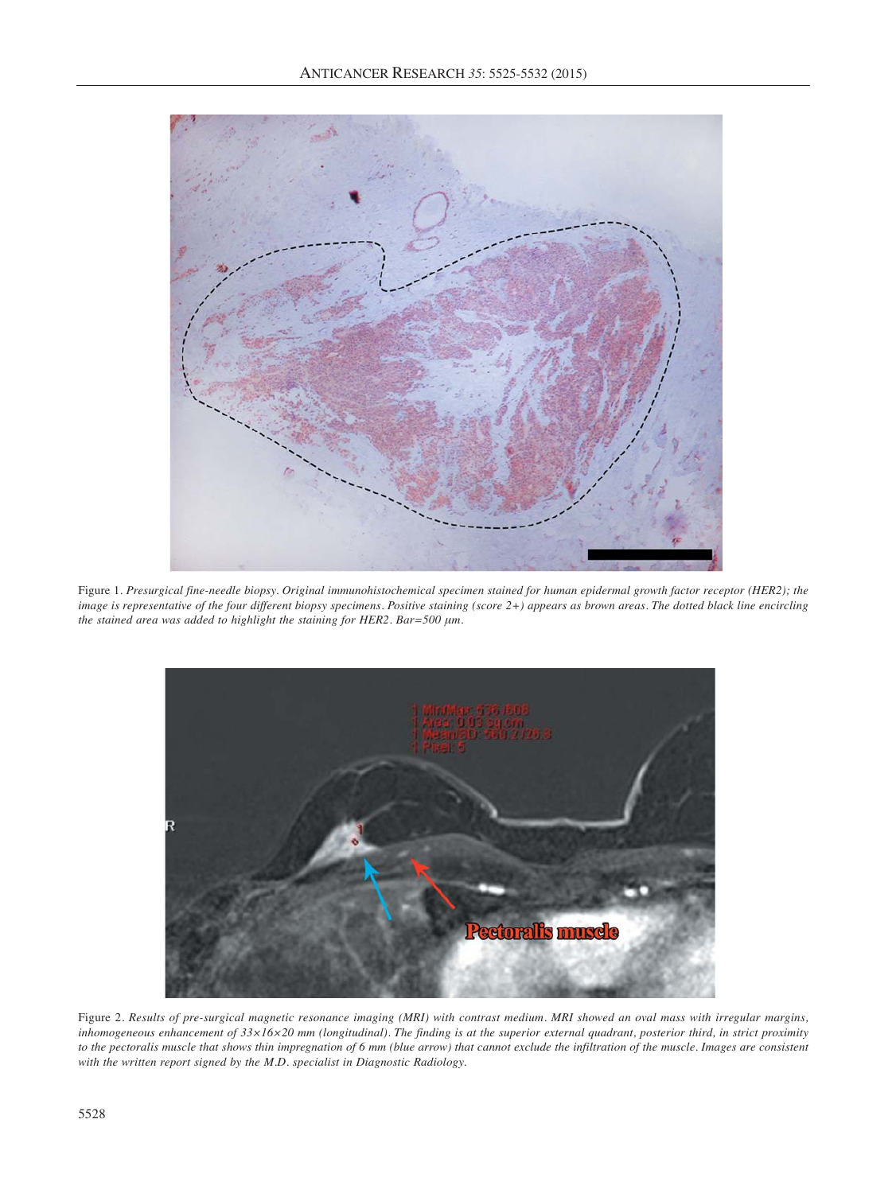

Figure 1*. Presurgical fine-needle biopsy. Original immunohistochemical specimen stained for human epidermal growth factor receptor (HER2); the image is representative of the four different biopsy specimens. Positive staining (score 2+) appears as brown areas. The dotted black line encircling the stained area was added to highlight the staining for HER2. Bar=500 μm.*



Figure 2. *Results of pre-surgical magnetic resonance imaging (MRI) with contrast medium. MRI showed an oval mass with irregular margins, inhomogeneous enhancement of 33×16×20 mm (longitudinal). The finding is at the superior external quadrant, posterior third, in strict proximity to the pectoralis muscle that shows thin impregnation of 6 mm (blue arrow) that cannot exclude the infiltration of the muscle. Images are consistent with the written report signed by the M.D. specialist in Diagnostic Radiology.*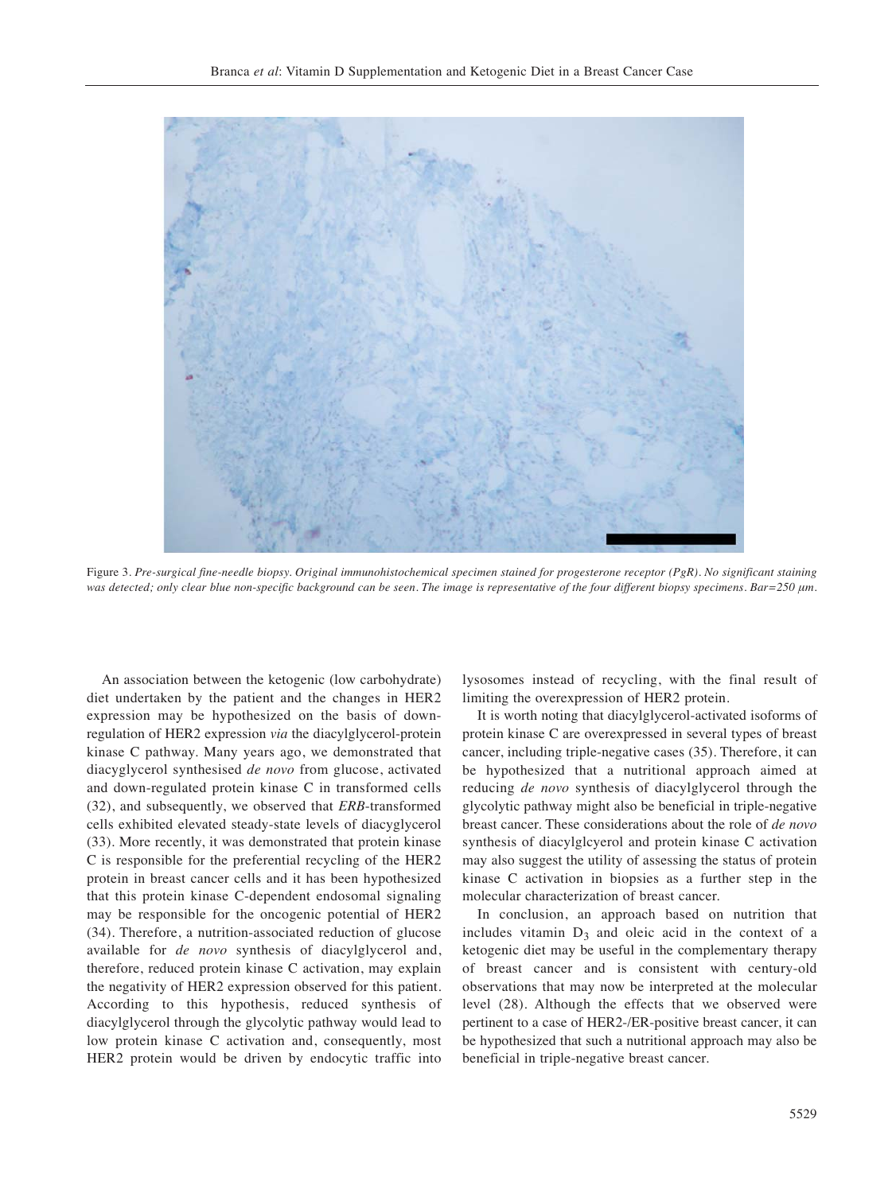

Figure 3*. Pre-surgical fine-needle biopsy. Original immunohistochemical specimen stained for progesterone receptor (PgR). No significant staining was detected; only clear blue non-specific background can be seen. The image is representative of the four different biopsy specimens. Bar=250 μm.*

An association between the ketogenic (low carbohydrate) diet undertaken by the patient and the changes in HER2 expression may be hypothesized on the basis of downregulation of HER2 expression *via* the diacylglycerol-protein kinase C pathway. Many years ago, we demonstrated that diacyglycerol synthesised *de novo* from glucose, activated and down-regulated protein kinase C in transformed cells (32), and subsequently, we observed that *ERB*-transformed cells exhibited elevated steady-state levels of diacyglycerol (33). More recently, it was demonstrated that protein kinase C is responsible for the preferential recycling of the HER2 protein in breast cancer cells and it has been hypothesized that this protein kinase C-dependent endosomal signaling may be responsible for the oncogenic potential of HER2 (34). Therefore, a nutrition-associated reduction of glucose available for *de novo* synthesis of diacylglycerol and, therefore, reduced protein kinase C activation, may explain the negativity of HER2 expression observed for this patient. According to this hypothesis, reduced synthesis of diacylglycerol through the glycolytic pathway would lead to low protein kinase C activation and, consequently, most HER2 protein would be driven by endocytic traffic into lysosomes instead of recycling, with the final result of limiting the overexpression of HER2 protein.

It is worth noting that diacylglycerol-activated isoforms of protein kinase C are overexpressed in several types of breast cancer, including triple-negative cases (35). Therefore, it can be hypothesized that a nutritional approach aimed at reducing *de novo* synthesis of diacylglycerol through the glycolytic pathway might also be beneficial in triple-negative breast cancer. These considerations about the role of *de novo* synthesis of diacylglcyerol and protein kinase C activation may also suggest the utility of assessing the status of protein kinase C activation in biopsies as a further step in the molecular characterization of breast cancer.

In conclusion, an approach based on nutrition that includes vitamin  $D_3$  and oleic acid in the context of a ketogenic diet may be useful in the complementary therapy of breast cancer and is consistent with century-old observations that may now be interpreted at the molecular level (28). Although the effects that we observed were pertinent to a case of HER2-/ER-positive breast cancer, it can be hypothesized that such a nutritional approach may also be beneficial in triple-negative breast cancer.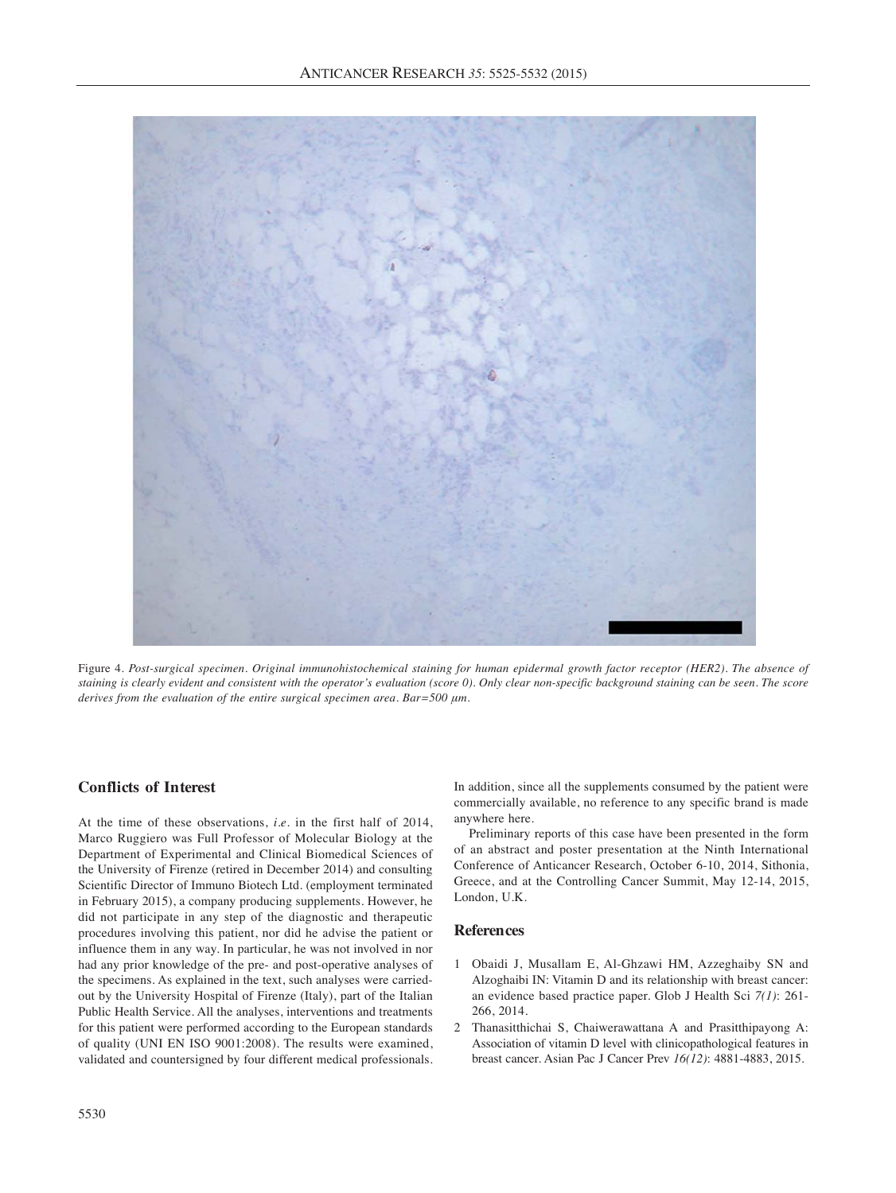

Figure 4. *Post-surgical specimen. Original immunohistochemical staining for human epidermal growth factor receptor (HER2). The absence of staining is clearly evident and consistent with the operator's evaluation (score 0). Only clear non-specific background staining can be seen. The score derives from the evaluation of the entire surgical specimen area. Bar=500 μm.* 

### **Conflicts of Interest**

At the time of these observations, *i.e.* in the first half of 2014, Marco Ruggiero was Full Professor of Molecular Biology at the Department of Experimental and Clinical Biomedical Sciences of the University of Firenze (retired in December 2014) and consulting Scientific Director of Immuno Biotech Ltd. (employment terminated in February 2015), a company producing supplements. However, he did not participate in any step of the diagnostic and therapeutic procedures involving this patient, nor did he advise the patient or influence them in any way. In particular, he was not involved in nor had any prior knowledge of the pre- and post-operative analyses of the specimens. As explained in the text, such analyses were carriedout by the University Hospital of Firenze (Italy), part of the Italian Public Health Service. All the analyses, interventions and treatments for this patient were performed according to the European standards of quality (UNI EN ISO 9001:2008). The results were examined, validated and countersigned by four different medical professionals.

In addition, since all the supplements consumed by the patient were commercially available, no reference to any specific brand is made anywhere here.

Preliminary reports of this case have been presented in the form of an abstract and poster presentation at the Ninth International Conference of Anticancer Research, October 6-10, 2014, Sithonia, Greece, and at the Controlling Cancer Summit, May 12-14, 2015, London, U.K.

## **References**

- 1 Obaidi J, Musallam E, Al-Ghzawi HM, Azzeghaiby SN and Alzoghaibi IN: Vitamin D and its relationship with breast cancer: an evidence based practice paper. Glob J Health Sci *7(1)*: 261- 266, 2014.
- 2 Thanasitthichai S, Chaiwerawattana A and Prasitthipayong A: Association of vitamin D level with clinicopathological features in breast cancer. Asian Pac J Cancer Prev *16(12)*: 4881-4883, 2015.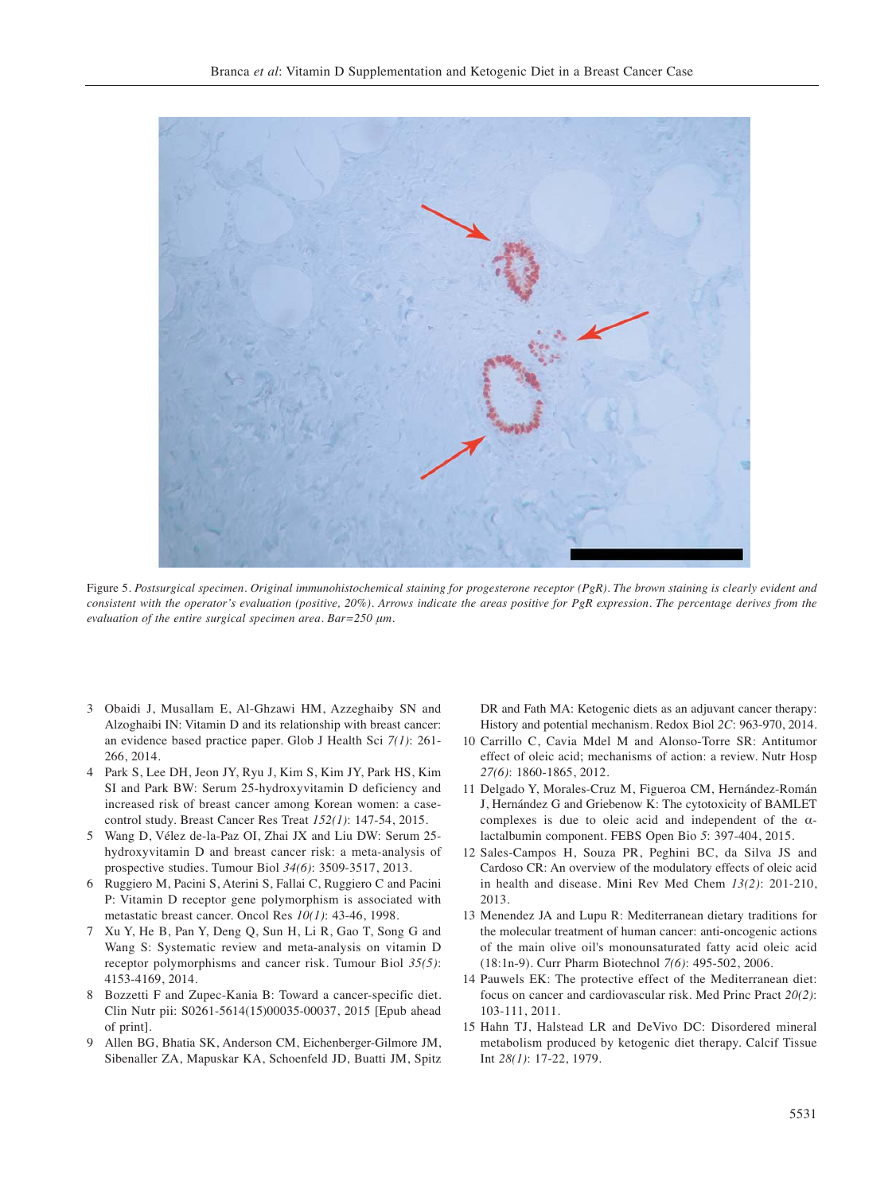

Figure 5. *Postsurgical specimen. Original immunohistochemical staining for progesterone receptor (PgR). The brown staining is clearly evident and consistent with the operator's evaluation (positive, 20%). Arrows indicate the areas positive for PgR expression. The percentage derives from the evaluation of the entire surgical specimen area. Bar=250 μm.*

- 3 Obaidi J, Musallam E, Al-Ghzawi HM, Azzeghaiby SN and Alzoghaibi IN: Vitamin D and its relationship with breast cancer: an evidence based practice paper. Glob J Health Sci *7(1)*: 261- 266, 2014.
- 4 Park S, Lee DH, Jeon JY, Ryu J, Kim S, Kim JY, Park HS, Kim SI and Park BW: Serum 25-hydroxyvitamin D deficiency and increased risk of breast cancer among Korean women: a casecontrol study. Breast Cancer Res Treat *152(1)*: 147-54, 2015.
- 5 Wang D, Vélez de-la-Paz OI, Zhai JX and Liu DW: Serum 25 hydroxyvitamin D and breast cancer risk: a meta-analysis of prospective studies. Tumour Biol *34(6)*: 3509-3517, 2013.
- 6 Ruggiero M, Pacini S, Aterini S, Fallai C, Ruggiero C and Pacini P: Vitamin D receptor gene polymorphism is associated with metastatic breast cancer. Oncol Res *10(1)*: 43-46, 1998.
- 7 Xu Y, He B, Pan Y, Deng Q, Sun H, Li R, Gao T, Song G and Wang S: Systematic review and meta-analysis on vitamin D receptor polymorphisms and cancer risk. Tumour Biol *35(5)*: 4153-4169, 2014.
- 8 Bozzetti F and Zupec-Kania B: Toward a cancer-specific diet. Clin Nutr pii: S0261-5614(15)00035-00037, 2015 [Epub ahead of print].
- 9 Allen BG, Bhatia SK, Anderson CM, Eichenberger-Gilmore JM, Sibenaller ZA, Mapuskar KA, Schoenfeld JD, Buatti JM, Spitz

DR and Fath MA: Ketogenic diets as an adjuvant cancer therapy: History and potential mechanism. Redox Biol *2C*: 963-970, 2014.

- 10 Carrillo C, Cavia Mdel M and Alonso-Torre SR: Antitumor effect of oleic acid; mechanisms of action: a review. Nutr Hosp *27(6)*: 1860-1865, 2012.
- 11 Delgado Y, Morales-Cruz M, Figueroa CM, Hernández-Román J, Hernández G and Griebenow K: The cytotoxicity of BAMLET complexes is due to oleic acid and independent of the αlactalbumin component. FEBS Open Bio *5*: 397-404, 2015.
- 12 Sales-Campos H, Souza PR, Peghini BC, da Silva JS and Cardoso CR: An overview of the modulatory effects of oleic acid in health and disease. Mini Rev Med Chem *13(2)*: 201-210, 2013.
- 13 Menendez JA and Lupu R: Mediterranean dietary traditions for the molecular treatment of human cancer: anti-oncogenic actions of the main olive oil's monounsaturated fatty acid oleic acid (18:1n-9). Curr Pharm Biotechnol *7(6)*: 495-502, 2006.
- 14 Pauwels EK: The protective effect of the Mediterranean diet: focus on cancer and cardiovascular risk. Med Princ Pract *20(2)*: 103-111, 2011.
- 15 Hahn TJ, Halstead LR and DeVivo DC: Disordered mineral metabolism produced by ketogenic diet therapy. Calcif Tissue Int *28(1)*: 17-22, 1979.